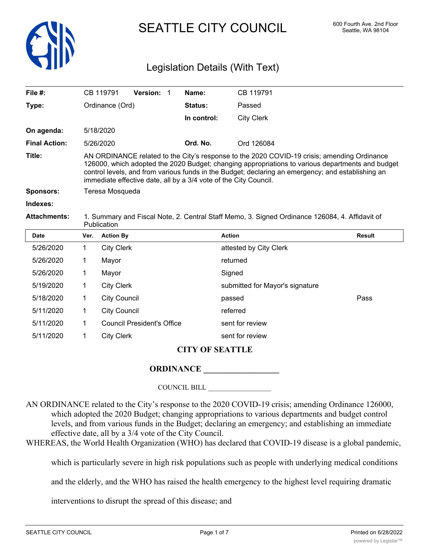

SEATTLE CITY COUNCIL 600 Fourth Ave. 2nd Floor

## Legislation Details (With Text)

| File $#$ :           | CB 119791                                                                                                                                                                                                                                                                                                                                                                |                   | <b>Version: 1</b> |  | Name:          | CB 119791                                                                                      |        |
|----------------------|--------------------------------------------------------------------------------------------------------------------------------------------------------------------------------------------------------------------------------------------------------------------------------------------------------------------------------------------------------------------------|-------------------|-------------------|--|----------------|------------------------------------------------------------------------------------------------|--------|
| Type:                |                                                                                                                                                                                                                                                                                                                                                                          | Ordinance (Ord)   |                   |  | <b>Status:</b> | Passed                                                                                         |        |
|                      |                                                                                                                                                                                                                                                                                                                                                                          |                   |                   |  | In control:    | <b>City Clerk</b>                                                                              |        |
| On agenda:           | 5/18/2020                                                                                                                                                                                                                                                                                                                                                                |                   |                   |  |                |                                                                                                |        |
| <b>Final Action:</b> | 5/26/2020                                                                                                                                                                                                                                                                                                                                                                |                   |                   |  | Ord. No.       | Ord 126084                                                                                     |        |
| Title:               | AN ORDINANCE related to the City's response to the 2020 COVID-19 crisis; amending Ordinance<br>126000, which adopted the 2020 Budget; changing appropriations to various departments and budget<br>control levels, and from various funds in the Budget; declaring an emergency; and establishing an<br>immediate effective date, all by a 3/4 vote of the City Council. |                   |                   |  |                |                                                                                                |        |
| <b>Sponsors:</b>     | Teresa Mosqueda                                                                                                                                                                                                                                                                                                                                                          |                   |                   |  |                |                                                                                                |        |
| Indexes:             |                                                                                                                                                                                                                                                                                                                                                                          |                   |                   |  |                |                                                                                                |        |
| <b>Attachments:</b>  | Publication                                                                                                                                                                                                                                                                                                                                                              |                   |                   |  |                | 1. Summary and Fiscal Note, 2. Central Staff Memo, 3. Signed Ordinance 126084, 4. Affidavit of |        |
| <b>Date</b>          | Ver.                                                                                                                                                                                                                                                                                                                                                                     | <b>Action By</b>  |                   |  |                | <b>Action</b>                                                                                  | Result |
| 5/26/2020            | 1.                                                                                                                                                                                                                                                                                                                                                                       | <b>City Clerk</b> |                   |  |                | attested by City Clerk                                                                         |        |
| 5/26/2020            |                                                                                                                                                                                                                                                                                                                                                                          | Mayor             |                   |  |                | returned                                                                                       |        |

**ORDINANCE \_\_\_\_\_\_\_\_\_\_\_\_\_\_\_\_\_\_**

5/19/2020 1 City Clerk submitted for Mayor's signature

COUNCIL BILL \_\_\_\_\_\_\_\_\_\_\_\_\_\_\_\_\_\_

**CITY OF SEATTLE**

5/18/2020 1 City Council passed Pass

AN ORDINANCE related to the City's response to the 2020 COVID-19 crisis; amending Ordinance 126000, which adopted the 2020 Budget; changing appropriations to various departments and budget control levels, and from various funds in the Budget; declaring an emergency; and establishing an immediate effective date, all by a 3/4 vote of the City Council.

WHEREAS, the World Health Organization (WHO) has declared that COVID-19 disease is a global pandemic,

which is particularly severe in high risk populations such as people with underlying medical conditions

and the elderly, and the WHO has raised the health emergency to the highest level requiring dramatic

interventions to disrupt the spread of this disease; and

5/26/2020 1 Mayor Signed

5/11/2020 1 City Council referred

5/11/2020 1 Council President's Office sent for review 5/11/2020 1 City Clerk sent for review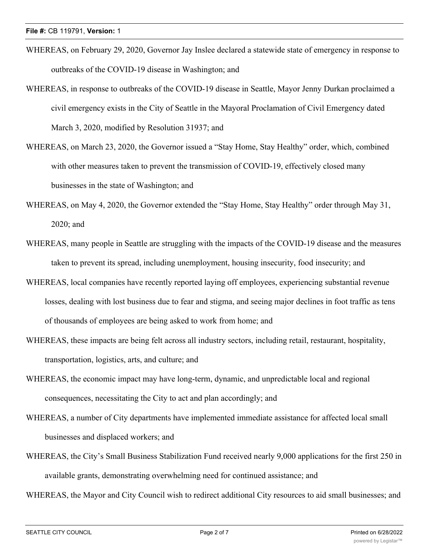- WHEREAS, on February 29, 2020, Governor Jay Inslee declared a statewide state of emergency in response to outbreaks of the COVID-19 disease in Washington; and
- WHEREAS, in response to outbreaks of the COVID-19 disease in Seattle, Mayor Jenny Durkan proclaimed a civil emergency exists in the City of Seattle in the Mayoral Proclamation of Civil Emergency dated March 3, 2020, modified by Resolution 31937; and
- WHEREAS, on March 23, 2020, the Governor issued a "Stay Home, Stay Healthy" order, which, combined with other measures taken to prevent the transmission of COVID-19, effectively closed many businesses in the state of Washington; and
- WHEREAS, on May 4, 2020, the Governor extended the "Stay Home, Stay Healthy" order through May 31, 2020; and
- WHEREAS, many people in Seattle are struggling with the impacts of the COVID-19 disease and the measures taken to prevent its spread, including unemployment, housing insecurity, food insecurity; and
- WHEREAS, local companies have recently reported laying off employees, experiencing substantial revenue losses, dealing with lost business due to fear and stigma, and seeing major declines in foot traffic as tens of thousands of employees are being asked to work from home; and
- WHEREAS, these impacts are being felt across all industry sectors, including retail, restaurant, hospitality, transportation, logistics, arts, and culture; and
- WHEREAS, the economic impact may have long-term, dynamic, and unpredictable local and regional consequences, necessitating the City to act and plan accordingly; and
- WHEREAS, a number of City departments have implemented immediate assistance for affected local small businesses and displaced workers; and
- WHEREAS, the City's Small Business Stabilization Fund received nearly 9,000 applications for the first 250 in available grants, demonstrating overwhelming need for continued assistance; and

WHEREAS, the Mayor and City Council wish to redirect additional City resources to aid small businesses; and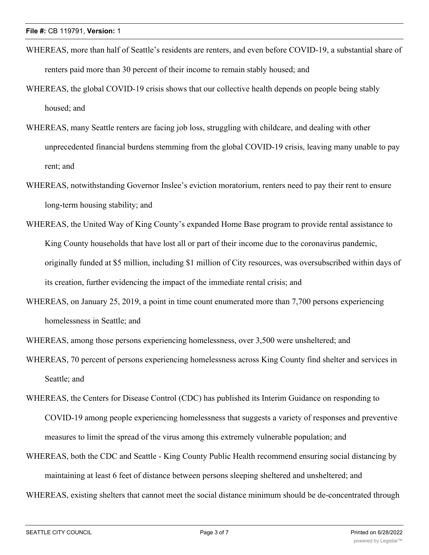- WHEREAS, more than half of Seattle's residents are renters, and even before COVID-19, a substantial share of renters paid more than 30 percent of their income to remain stably housed; and
- WHEREAS, the global COVID-19 crisis shows that our collective health depends on people being stably housed; and
- WHEREAS, many Seattle renters are facing job loss, struggling with childcare, and dealing with other unprecedented financial burdens stemming from the global COVID-19 crisis, leaving many unable to pay rent; and
- WHEREAS, notwithstanding Governor Inslee's eviction moratorium, renters need to pay their rent to ensure long-term housing stability; and
- WHEREAS, the United Way of King County's expanded Home Base program to provide rental assistance to King County households that have lost all or part of their income due to the coronavirus pandemic, originally funded at \$5 million, including \$1 million of City resources, was oversubscribed within days of its creation, further evidencing the impact of the immediate rental crisis; and
- WHEREAS, on January 25, 2019, a point in time count enumerated more than 7,700 persons experiencing homelessness in Seattle; and

WHEREAS, among those persons experiencing homelessness, over 3,500 were unsheltered; and

- WHEREAS, 70 percent of persons experiencing homelessness across King County find shelter and services in Seattle; and
- WHEREAS, the Centers for Disease Control (CDC) has published its Interim Guidance on responding to COVID-19 among people experiencing homelessness that suggests a variety of responses and preventive measures to limit the spread of the virus among this extremely vulnerable population; and
- WHEREAS, both the CDC and Seattle King County Public Health recommend ensuring social distancing by maintaining at least 6 feet of distance between persons sleeping sheltered and unsheltered; and
- WHEREAS, existing shelters that cannot meet the social distance minimum should be de-concentrated through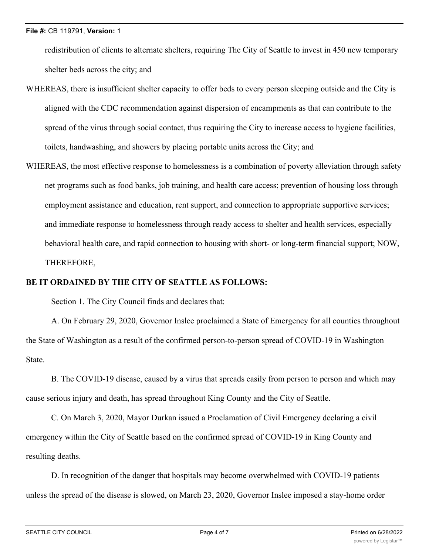redistribution of clients to alternate shelters, requiring The City of Seattle to invest in 450 new temporary shelter beds across the city; and

- WHEREAS, there is insufficient shelter capacity to offer beds to every person sleeping outside and the City is aligned with the CDC recommendation against dispersion of encampments as that can contribute to the spread of the virus through social contact, thus requiring the City to increase access to hygiene facilities, toilets, handwashing, and showers by placing portable units across the City; and
- WHEREAS, the most effective response to homelessness is a combination of poverty alleviation through safety net programs such as food banks, job training, and health care access; prevention of housing loss through employment assistance and education, rent support, and connection to appropriate supportive services; and immediate response to homelessness through ready access to shelter and health services, especially behavioral health care, and rapid connection to housing with short- or long-term financial support; NOW, THEREFORE,

## **BE IT ORDAINED BY THE CITY OF SEATTLE AS FOLLOWS:**

Section 1. The City Council finds and declares that:

A. On February 29, 2020, Governor Inslee proclaimed a State of Emergency for all counties throughout the State of Washington as a result of the confirmed person-to-person spread of COVID-19 in Washington State.

B. The COVID-19 disease, caused by a virus that spreads easily from person to person and which may cause serious injury and death, has spread throughout King County and the City of Seattle.

C. On March 3, 2020, Mayor Durkan issued a Proclamation of Civil Emergency declaring a civil emergency within the City of Seattle based on the confirmed spread of COVID-19 in King County and resulting deaths.

D. In recognition of the danger that hospitals may become overwhelmed with COVID-19 patients unless the spread of the disease is slowed, on March 23, 2020, Governor Inslee imposed a stay-home order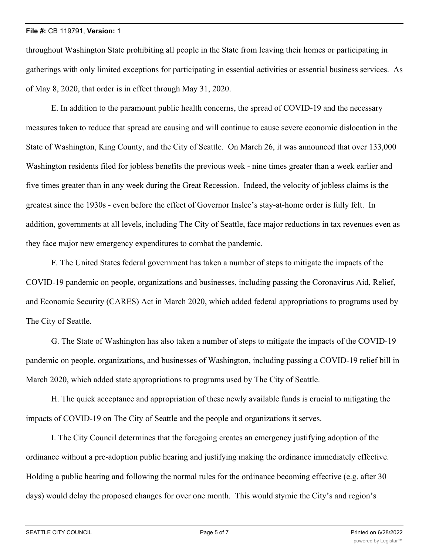throughout Washington State prohibiting all people in the State from leaving their homes or participating in gatherings with only limited exceptions for participating in essential activities or essential business services. As of May 8, 2020, that order is in effect through May 31, 2020.

E. In addition to the paramount public health concerns, the spread of COVID-19 and the necessary measures taken to reduce that spread are causing and will continue to cause severe economic dislocation in the State of Washington, King County, and the City of Seattle. On March 26, it was announced that over 133,000 Washington residents filed for jobless benefits the previous week - nine times greater than a week earlier and five times greater than in any week during the Great Recession. Indeed, the velocity of jobless claims is the greatest since the 1930s - even before the effect of Governor Inslee's stay-at-home order is fully felt. In addition, governments at all levels, including The City of Seattle, face major reductions in tax revenues even as they face major new emergency expenditures to combat the pandemic.

F. The United States federal government has taken a number of steps to mitigate the impacts of the COVID-19 pandemic on people, organizations and businesses, including passing the Coronavirus Aid, Relief, and Economic Security (CARES) Act in March 2020, which added federal appropriations to programs used by The City of Seattle.

G. The State of Washington has also taken a number of steps to mitigate the impacts of the COVID-19 pandemic on people, organizations, and businesses of Washington, including passing a COVID-19 relief bill in March 2020, which added state appropriations to programs used by The City of Seattle.

H. The quick acceptance and appropriation of these newly available funds is crucial to mitigating the impacts of COVID-19 on The City of Seattle and the people and organizations it serves.

I. The City Council determines that the foregoing creates an emergency justifying adoption of the ordinance without a pre-adoption public hearing and justifying making the ordinance immediately effective. Holding a public hearing and following the normal rules for the ordinance becoming effective (e.g. after 30 days) would delay the proposed changes for over one month. This would stymie the City's and region's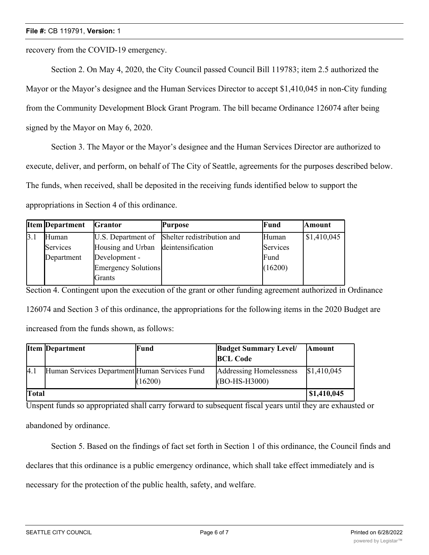recovery from the COVID-19 emergency.

Section 2. On May 4, 2020, the City Council passed Council Bill 119783; item 2.5 authorized the Mayor or the Mayor's designee and the Human Services Director to accept \$1,410,045 in non-City funding from the Community Development Block Grant Program. The bill became Ordinance 126074 after being signed by the Mayor on May 6, 2020.

Section 3. The Mayor or the Mayor's designee and the Human Services Director are authorized to execute, deliver, and perform, on behalf of The City of Seattle, agreements for the purposes described below. The funds, when received, shall be deposited in the receiving funds identified below to support the appropriations in Section 4 of this ordinance.

|     | <b>Item Department</b> | <b>Grantor</b>                      | <b>Purpose</b>                                | Fund     | <b>Amount</b> |
|-----|------------------------|-------------------------------------|-----------------------------------------------|----------|---------------|
| 3.1 | Human                  |                                     | U.S. Department of Shelter redistribution and | Human    | \$1,410,045   |
|     | Services               | Housing and Urban deintensification |                                               | Services |               |
|     | Department             | Development -                       |                                               | Fund     |               |
|     |                        | Emergency Solutions                 |                                               | (16200)  |               |
|     |                        | <b>Grants</b>                       |                                               |          |               |

Section 4. Contingent upon the execution of the grant or other funding agreement authorized in Ordinance 126074 and Section 3 of this ordinance, the appropriations for the following items in the 2020 Budget are increased from the funds shown, as follows:

|              | <b>Item Department</b>                        | Fund    | <b>Budget Summary Level/</b><br><b>BCL Code</b> | <b>Amount</b>      |
|--------------|-----------------------------------------------|---------|-------------------------------------------------|--------------------|
| 4.1          | Human Services Department Human Services Fund | (16200) | Addressing Homelessness<br>(BO-HS-H3000)        | \$1,410,045        |
| <b>Total</b> |                                               |         |                                                 | $\mid$ \$1,410,045 |

Unspent funds so appropriated shall carry forward to subsequent fiscal years until they are exhausted or abandoned by ordinance.

Section 5. Based on the findings of fact set forth in Section 1 of this ordinance, the Council finds and

declares that this ordinance is a public emergency ordinance, which shall take effect immediately and is

necessary for the protection of the public health, safety, and welfare.